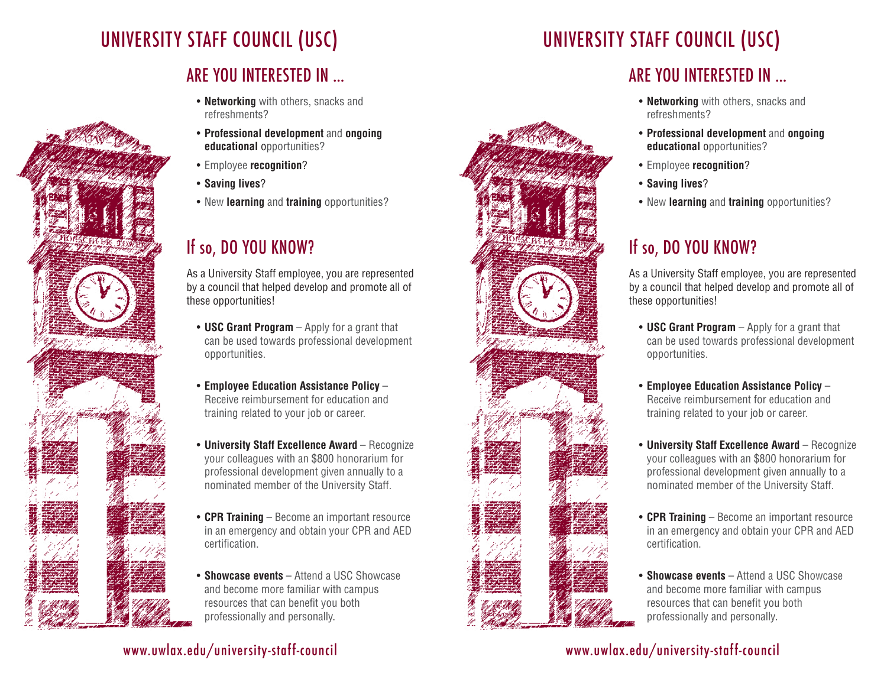# UNIVERSITY STAFF COUNCIL (USC)

### ARE YOU INTERESTED IN …

- **Networking** with others, snacks and refreshments?
- **Professional development** and **ongoing educational** opportunities?
- Employee **recognition**?
- **Saving lives**?
- New **learning** and **training** opportunities?

## If so, DO YOU KNOW?

As a University Staff employee, you are represented by a council that helped develop and promote all of these opportunities!

- **USC Grant Program** Apply for a grant that can be used towards professional development opportunities.
- **Employee Education Assistance Policy** Receive reimbursement for education and training related to your job or career.
- **University Staff Excellence Award** Recognize your colleagues with an \$800 honorarium for professional development given annually to a nominated member of the University Staff.
- **CPR Training** Become an important resource in an emergency and obtain your CPR and AED certification.
- **Showcase events** Attend a USC Showcase and become more familiar with campus resources that can benefit you both professionally and personally.

• Employee **recognition**?

**educational** opportunities?

• **Saving lives**?

refreshments?

• New **learning** and **training** opportunities?

### If so, DO YOU KNOW?

As a University Staff employee, you are represented by a council that helped develop and promote all of these opportunities!

- **USC Grant Program** Apply for a grant that can be used towards professional development opportunities.
- **Employee Education Assistance Policy** Receive reimbursement for education and training related to your job or career.
- **University Staff Excellence Award** Recognize your colleagues with an \$800 honorarium for professional development given annually to a nominated member of the University Staff.
- **CPR Training** Become an important resource in an emergency and obtain your CPR and AED certification.
- **Showcase events** Attend a USC Showcase and become more familiar with campus resources that can benefit you both professionally and personally.

#### www.uwlax.edu/university-staff-council

www.uwlax.edu/university-staff-council



UNIVERSITY STAFF COUNCIL (USC)

### ARE YOU INTERESTED IN …

• **Networking** with others, snacks and

• **Professional development** and **ongoing**